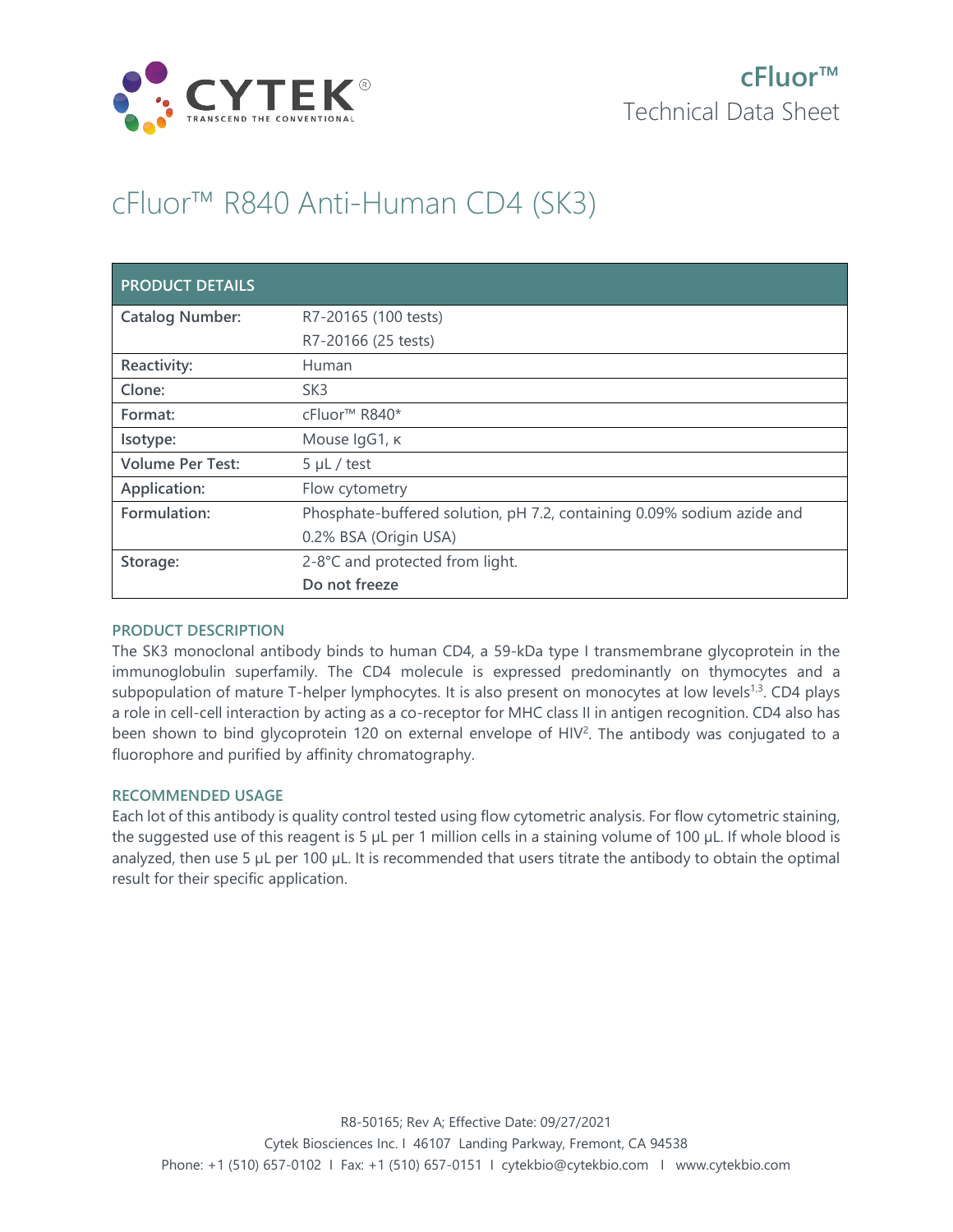

# cFluor™ R840 Anti-Human CD4 (SK3)

| <b>PRODUCT DETAILS</b>  |                                                                        |
|-------------------------|------------------------------------------------------------------------|
| <b>Catalog Number:</b>  | R7-20165 (100 tests)                                                   |
|                         | R7-20166 (25 tests)                                                    |
| Reactivity:             | Human                                                                  |
| Clone:                  | SK <sub>3</sub>                                                        |
| Format:                 | cFluor <sup>™</sup> R840*                                              |
| Isotype:                | Mouse IgG1, к                                                          |
| <b>Volume Per Test:</b> | $5 \mu L$ / test                                                       |
| Application:            | Flow cytometry                                                         |
| Formulation:            | Phosphate-buffered solution, pH 7.2, containing 0.09% sodium azide and |
|                         | 0.2% BSA (Origin USA)                                                  |
| Storage:                | 2-8°C and protected from light.                                        |
|                         | Do not freeze                                                          |

## **PRODUCT DESCRIPTION**

The SK3 monoclonal antibody binds to human CD4, a 59-kDa type I transmembrane glycoprotein in the immunoglobulin superfamily. The CD4 molecule is expressed predominantly on thymocytes and a subpopulation of mature T-helper lymphocytes. It is also present on monocytes at low levels<sup>1,3</sup>. CD4 plays a role in cell-cell interaction by acting as a co-receptor for MHC class II in antigen recognition. CD4 also has been shown to bind glycoprotein 120 on external envelope of HIV<sup>2</sup>. The antibody was conjugated to a fluorophore and purified by affinity chromatography.

## **RECOMMENDED USAGE**

Each lot of this antibody is quality control tested using flow cytometric analysis. For flow cytometric staining, the suggested use of this reagent is 5 µL per 1 million cells in a staining volume of 100 µL. If whole blood is analyzed, then use 5 µL per 100 µL. It is recommended that users titrate the antibody to obtain the optimal result for their specific application.